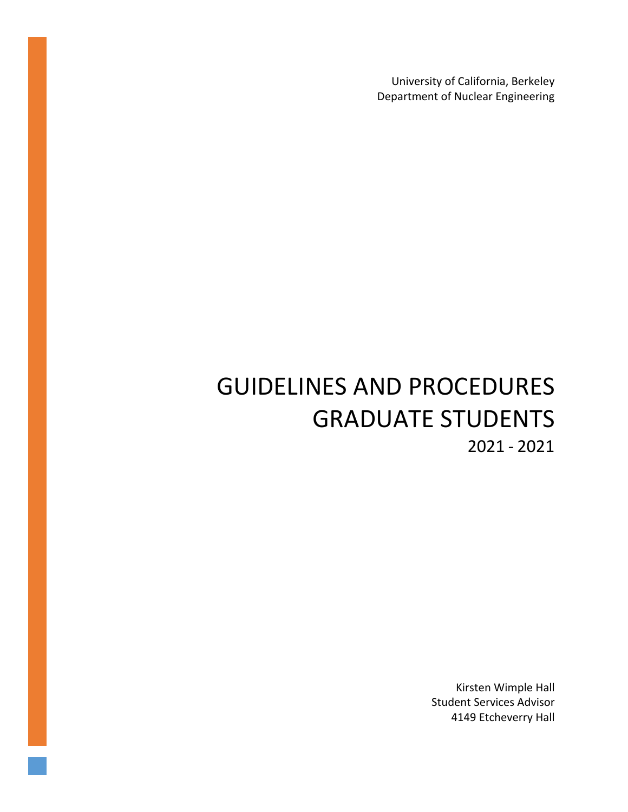University of California, Berkeley Department of Nuclear Engineering

# GUIDELINES AND PROCEDURES GRADUATE STUDENTS 2021 - 2021

Kirsten Wimple Hall Student Services Advisor 4149 Etcheverry Hall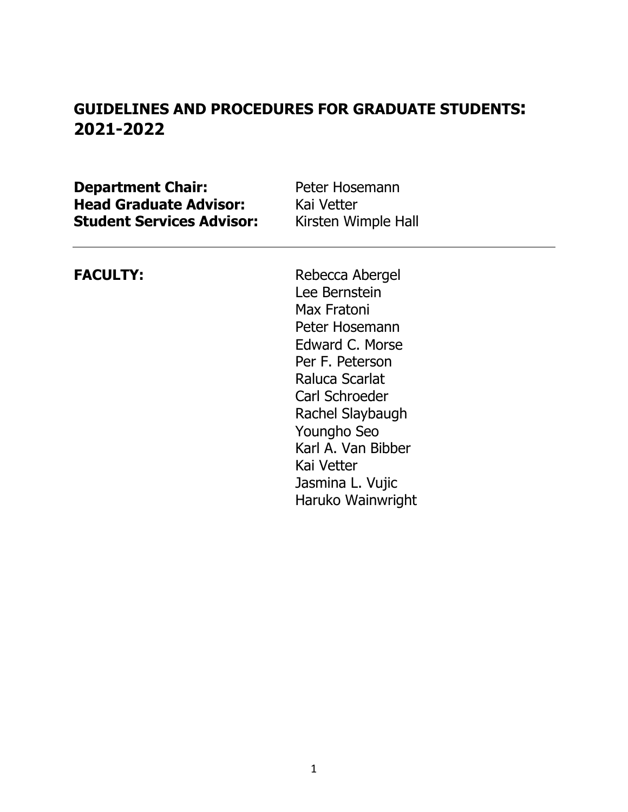## **GUIDELINES AND PROCEDURES FOR GRADUATE STUDENTS: 2021-2022**

**Department Chair:** Peter Hosemann **Head Graduate Advisor:** Kai Vetter **Student Services Advisor:** Kirsten Wimple Hall

**FACULTY:** Rebecca Abergel Lee Bernstein Max Fratoni Peter Hosemann Edward C. Morse Per F. Peterson Raluca Scarlat Carl Schroeder Rachel Slaybaugh Youngho Seo Karl A. Van Bibber Kai Vetter Jasmina L. Vujic Haruko Wainwright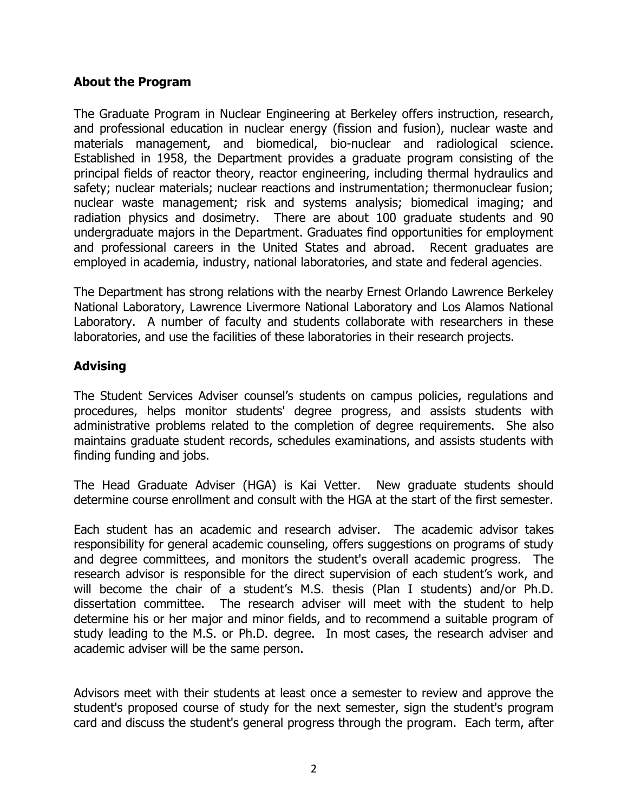#### **About the Program**

The Graduate Program in Nuclear Engineering at Berkeley offers instruction, research, and professional education in nuclear energy (fission and fusion), nuclear waste and materials management, and biomedical, bio-nuclear and radiological science. Established in 1958, the Department provides a graduate program consisting of the principal fields of reactor theory, reactor engineering, including thermal hydraulics and safety; nuclear materials; nuclear reactions and instrumentation; thermonuclear fusion; nuclear waste management; risk and systems analysis; biomedical imaging; and radiation physics and dosimetry. There are about 100 graduate students and 90 undergraduate majors in the Department. Graduates find opportunities for employment and professional careers in the United States and abroad. Recent graduates are employed in academia, industry, national laboratories, and state and federal agencies.

The Department has strong relations with the nearby Ernest Orlando Lawrence Berkeley National Laboratory, Lawrence Livermore National Laboratory and Los Alamos National Laboratory. A number of faculty and students collaborate with researchers in these laboratories, and use the facilities of these laboratories in their research projects.

#### **Advising**

The Student Services Adviser counsel's students on campus policies, regulations and procedures, helps monitor students' degree progress, and assists students with administrative problems related to the completion of degree requirements. She also maintains graduate student records, schedules examinations, and assists students with finding funding and jobs.

The Head Graduate Adviser (HGA) is Kai Vetter. New graduate students should determine course enrollment and consult with the HGA at the start of the first semester.

Each student has an academic and research adviser. The academic advisor takes responsibility for general academic counseling, offers suggestions on programs of study and degree committees, and monitors the student's overall academic progress. The research advisor is responsible for the direct supervision of each student's work, and will become the chair of a student's M.S. thesis (Plan I students) and/or Ph.D. dissertation committee. The research adviser will meet with the student to help determine his or her major and minor fields, and to recommend a suitable program of study leading to the M.S. or Ph.D. degree. In most cases, the research adviser and academic adviser will be the same person.

Advisors meet with their students at least once a semester to review and approve the student's proposed course of study for the next semester, sign the student's program card and discuss the student's general progress through the program. Each term, after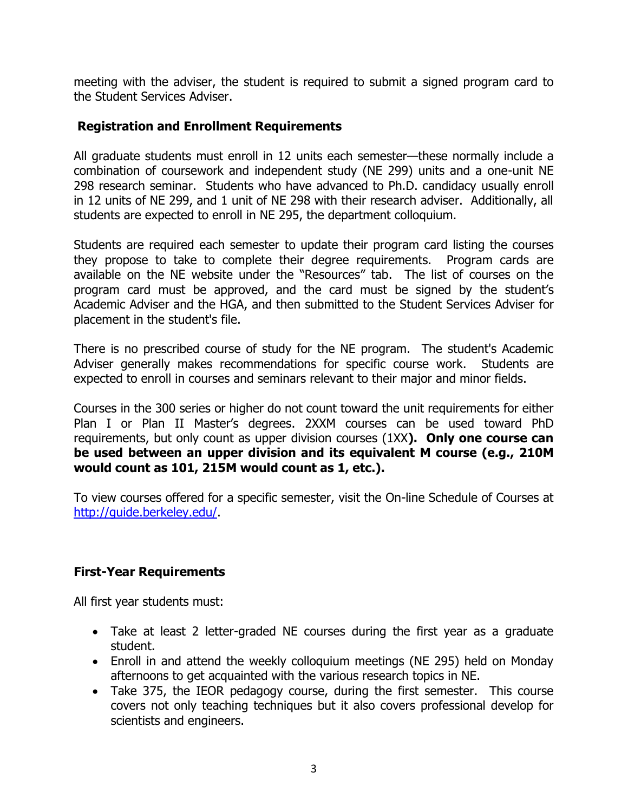meeting with the adviser, the student is required to submit a signed program card to the Student Services Adviser.

#### **Registration and Enrollment Requirements**

All graduate students must enroll in 12 units each semester—these normally include a combination of coursework and independent study (NE 299) units and a one-unit NE 298 research seminar. Students who have advanced to Ph.D. candidacy usually enroll in 12 units of NE 299, and 1 unit of NE 298 with their research adviser. Additionally, all students are expected to enroll in NE 295, the department colloquium.

Students are required each semester to update their program card listing the courses they propose to take to complete their degree requirements. Program cards are available on the NE website under the "Resources" tab. The list of courses on the program card must be approved, and the card must be signed by the student's Academic Adviser and the HGA, and then submitted to the Student Services Adviser for placement in the student's file.

There is no prescribed course of study for the NE program. The student's Academic Adviser generally makes recommendations for specific course work. Students are expected to enroll in courses and seminars relevant to their major and minor fields.

Courses in the 300 series or higher do not count toward the unit requirements for either Plan I or Plan II Master's degrees. 2XXM courses can be used toward PhD requirements, but only count as upper division courses (1XX**). Only one course can be used between an upper division and its equivalent M course (e.g., 210M would count as 101, 215M would count as 1, etc.).**

To view courses offered for a specific semester, visit the On-line Schedule of Courses at [http://guide.berkeley.edu/.](http://guide.berkeley.edu/)

### **First-Year Requirements**

All first year students must:

- Take at least 2 letter-graded NE courses during the first year as a graduate student.
- Enroll in and attend the weekly colloquium meetings (NE 295) held on Monday afternoons to get acquainted with the various research topics in NE.
- Take 375, the IEOR pedagogy course, during the first semester. This course covers not only teaching techniques but it also covers professional develop for scientists and engineers.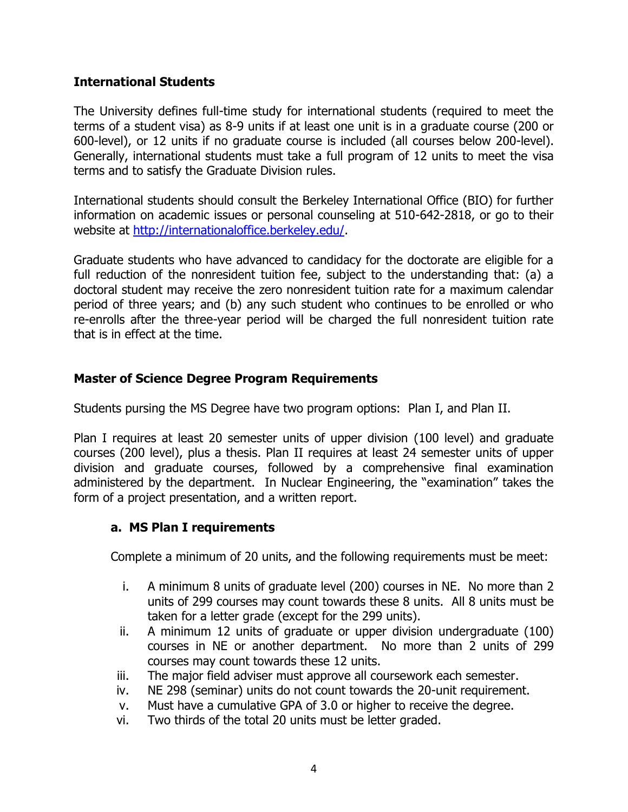#### **International Students**

The University defines full-time study for international students (required to meet the terms of a student visa) as 8-9 units if at least one unit is in a graduate course (200 or 600-level), or 12 units if no graduate course is included (all courses below 200-level). Generally, international students must take a full program of 12 units to meet the visa terms and to satisfy the Graduate Division rules.

International students should consult the Berkeley International Office (BIO) for further information on academic issues or personal counseling at 510-642-2818, or go to their website at [http://internationaloffice.berkeley.edu/.](http://internationaloffice.berkeley.edu/)

Graduate students who have advanced to candidacy for the doctorate are eligible for a full reduction of the nonresident tuition fee, subject to the understanding that: (a) a doctoral student may receive the zero nonresident tuition rate for a maximum calendar period of three years; and (b) any such student who continues to be enrolled or who re-enrolls after the three-year period will be charged the full nonresident tuition rate that is in effect at the time.

#### **Master of Science Degree Program Requirements**

Students pursing the MS Degree have two program options: Plan I, and Plan II.

Plan I requires at least 20 semester units of upper division (100 level) and graduate courses (200 level), plus a thesis. Plan II requires at least 24 semester units of upper division and graduate courses, followed by a comprehensive final examination administered by the department. In Nuclear Engineering, the "examination" takes the form of a project presentation, and a written report.

#### **a. MS Plan I requirements**

Complete a minimum of 20 units, and the following requirements must be meet:

- i. A minimum 8 units of graduate level (200) courses in NE. No more than 2 units of 299 courses may count towards these 8 units. All 8 units must be taken for a letter grade (except for the 299 units).
- ii. A minimum 12 units of graduate or upper division undergraduate (100) courses in NE or another department. No more than 2 units of 299 courses may count towards these 12 units.
- iii. The major field adviser must approve all coursework each semester.
- iv. NE 298 (seminar) units do not count towards the 20-unit requirement.
- v. Must have a cumulative GPA of 3.0 or higher to receive the degree.
- vi. Two thirds of the total 20 units must be letter graded.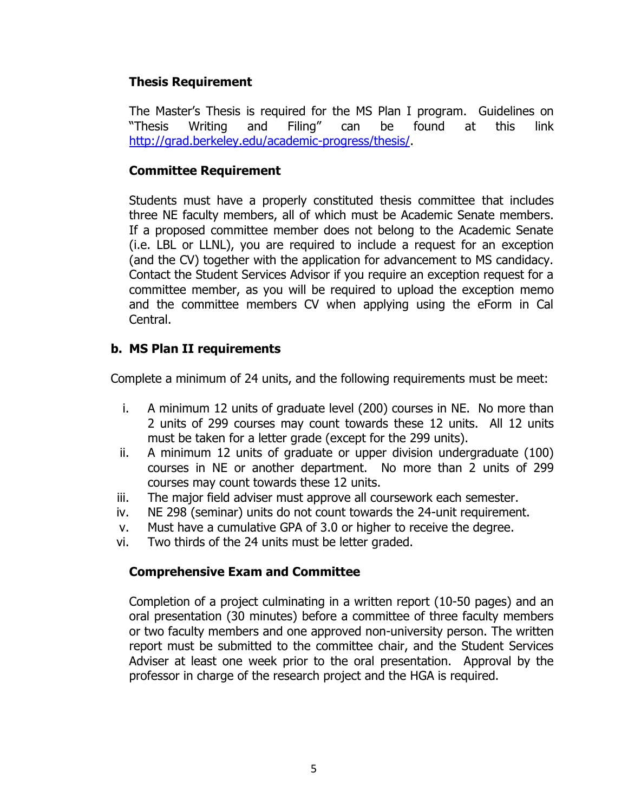#### **Thesis Requirement**

The Master's Thesis is required for the MS Plan I program. Guidelines on "Thesis Writing and Filing" can be found at this link [http://grad.berkeley.edu/academic-progress/thesis/.](http://grad.berkeley.edu/academic-progress/thesis/)

#### **Committee Requirement**

Students must have a properly constituted thesis committee that includes three NE faculty members, all of which must be Academic Senate members. If a proposed committee member does not belong to the Academic Senate (i.e. LBL or LLNL), you are required to include a request for an exception (and the CV) together with the application for advancement to MS candidacy. Contact the Student Services Advisor if you require an exception request for a committee member, as you will be required to upload the exception memo and the committee members CV when applying using the eForm in Cal Central.

### **b. MS Plan II requirements**

Complete a minimum of 24 units, and the following requirements must be meet:

- i. A minimum 12 units of graduate level (200) courses in NE. No more than 2 units of 299 courses may count towards these 12 units. All 12 units must be taken for a letter grade (except for the 299 units).
- ii. A minimum 12 units of graduate or upper division undergraduate (100) courses in NE or another department. No more than 2 units of 299 courses may count towards these 12 units.
- iii. The major field adviser must approve all coursework each semester.
- iv. NE 298 (seminar) units do not count towards the 24-unit requirement.
- v. Must have a cumulative GPA of 3.0 or higher to receive the degree.
- vi. Two thirds of the 24 units must be letter graded.

#### **Comprehensive Exam and Committee**

Completion of a project culminating in a written report (10-50 pages) and an oral presentation (30 minutes) before a committee of three faculty members or two faculty members and one approved non-university person. The written report must be submitted to the committee chair, and the Student Services Adviser at least one week prior to the oral presentation. Approval by the professor in charge of the research project and the HGA is required.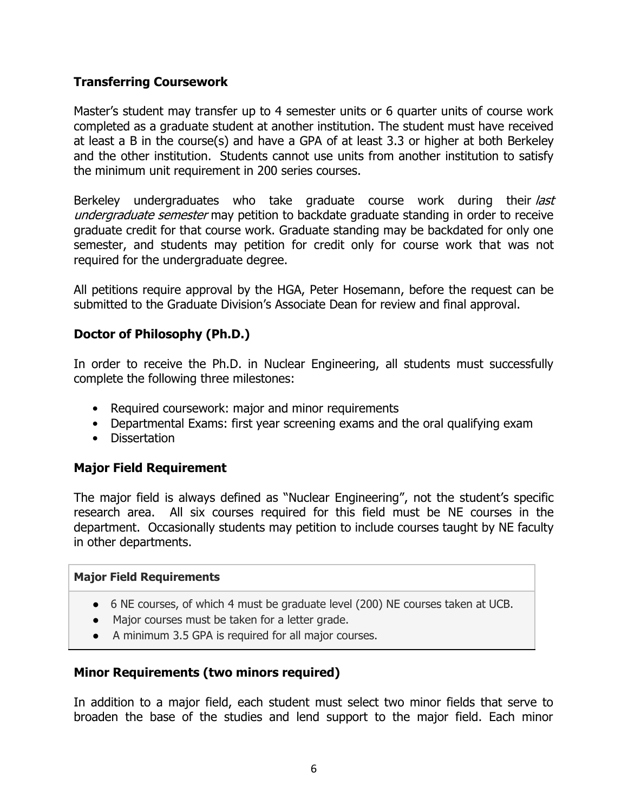#### **Transferring Coursework**

Master's student may transfer up to 4 semester units or 6 quarter units of course work completed as a graduate student at another institution. The student must have received at least a B in the course(s) and have a GPA of at least 3.3 or higher at both Berkeley and the other institution. Students cannot use units from another institution to satisfy the minimum unit requirement in 200 series courses.

Berkeley undergraduates who take graduate course work during their last undergraduate semester may petition to backdate graduate standing in order to receive graduate credit for that course work. Graduate standing may be backdated for only one semester, and students may petition for credit only for course work that was not required for the undergraduate degree.

All petitions require approval by the HGA, Peter Hosemann, before the request can be submitted to the Graduate Division's Associate Dean for review and final approval.

#### **Doctor of Philosophy (Ph.D.)**

In order to receive the Ph.D. in Nuclear Engineering, all students must successfully complete the following three milestones:

- Required coursework: major and minor requirements
- Departmental Exams: first year screening exams and the oral qualifying exam
- Dissertation

#### **Major Field Requirement**

The major field is always defined as "Nuclear Engineering", not the student's specific research area. All six courses required for this field must be NE courses in the department. Occasionally students may petition to include courses taught by NE faculty in other departments.

#### **Major Field Requirements**

- 6 NE courses, of which 4 must be graduate level (200) NE courses taken at UCB.
- Major courses must be taken for a letter grade.
- A minimum 3.5 GPA is required for all major courses.

#### **Minor Requirements (two minors required)**

In addition to a major field, each student must select two minor fields that serve to broaden the base of the studies and lend support to the major field. Each minor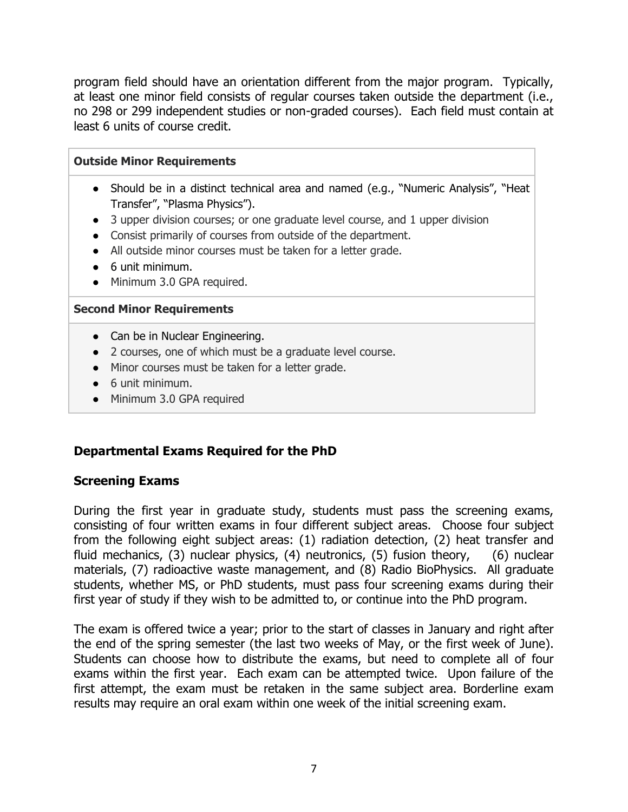program field should have an orientation different from the major program. Typically, at least one minor field consists of regular courses taken outside the department (i.e., no 298 or 299 independent studies or non-graded courses). Each field must contain at least 6 units of course credit.

| <b>Outside Minor Requirements</b>                                                                                                                                                                                                                                                                                                                                                                                                       |  |  |
|-----------------------------------------------------------------------------------------------------------------------------------------------------------------------------------------------------------------------------------------------------------------------------------------------------------------------------------------------------------------------------------------------------------------------------------------|--|--|
| • Should be in a distinct technical area and named (e.g., "Numeric Analysis", "Heat<br>Transfer", "Plasma Physics").<br>3 upper division courses; or one graduate level course, and 1 upper division<br>$\bullet$<br>Consist primarily of courses from outside of the department.<br>$\bullet$<br>All outside minor courses must be taken for a letter grade.<br>$\bullet$<br>6 unit minimum.<br>Minimum 3.0 GPA required.<br>$\bullet$ |  |  |
| <b>Second Minor Requirements</b>                                                                                                                                                                                                                                                                                                                                                                                                        |  |  |
| • Can be in Nuclear Engineering.<br>2 courses, one of which must be a graduate level course.<br>Minor courses must be taken for a letter grade.<br>$\bullet$<br>6 unit minimum.<br>$\bullet$<br>Minimum 3.0 GPA required<br>$\bullet$                                                                                                                                                                                                   |  |  |

#### **Departmental Exams Required for the PhD**

#### **Screening Exams**

During the first year in graduate study, students must pass the screening exams, consisting of four written exams in four different subject areas. Choose four subject from the following eight subject areas: (1) radiation detection, (2) heat transfer and fluid mechanics, (3) nuclear physics, (4) neutronics, (5) fusion theory, (6) nuclear materials, (7) radioactive waste management, and (8) Radio BioPhysics. All graduate students, whether MS, or PhD students, must pass four screening exams during their first year of study if they wish to be admitted to, or continue into the PhD program.

The exam is offered twice a year; prior to the start of classes in January and right after the end of the spring semester (the last two weeks of May, or the first week of June). Students can choose how to distribute the exams, but need to complete all of four exams within the first year. Each exam can be attempted twice. Upon failure of the first attempt, the exam must be retaken in the same subject area. Borderline exam results may require an oral exam within one week of the initial screening exam.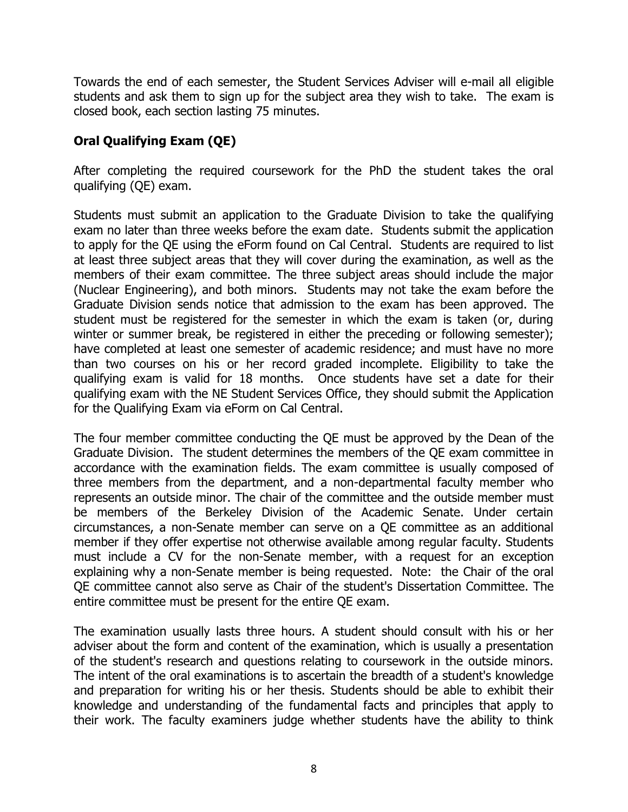Towards the end of each semester, the Student Services Adviser will e-mail all eligible students and ask them to sign up for the subject area they wish to take. The exam is closed book, each section lasting 75 minutes.

### **Oral Qualifying Exam (QE)**

After completing the required coursework for the PhD the student takes the oral qualifying (QE) exam.

Students must submit an application to the Graduate Division to take the qualifying exam no later than three weeks before the exam date. Students submit the application to apply for the QE using the eForm found on Cal Central. Students are required to list at least three subject areas that they will cover during the examination, as well as the members of their exam committee. The three subject areas should include the major (Nuclear Engineering), and both minors. Students may not take the exam before the Graduate Division sends notice that admission to the exam has been approved. The student must be registered for the semester in which the exam is taken (or, during winter or summer break, be registered in either the preceding or following semester); have completed at least one semester of academic residence; and must have no more than two courses on his or her record graded incomplete. Eligibility to take the qualifying exam is valid for 18 months. Once students have set a date for their qualifying exam with the NE Student Services Office, they should submit the Application for the Qualifying Exam via eForm on Cal Central.

The four member committee conducting the QE must be approved by the Dean of the Graduate Division. The student determines the members of the QE exam committee in accordance with the examination fields. The exam committee is usually composed of three members from the department, and a non-departmental faculty member who represents an outside minor. The chair of the committee and the outside member must be members of the Berkeley Division of the Academic Senate. Under certain circumstances, a non-Senate member can serve on a QE committee as an additional member if they offer expertise not otherwise available among regular faculty. Students must include a CV for the non-Senate member, with a request for an exception explaining why a non-Senate member is being requested. Note: the Chair of the oral QE committee cannot also serve as Chair of the student's Dissertation Committee. The entire committee must be present for the entire QE exam.

The examination usually lasts three hours. A student should consult with his or her adviser about the form and content of the examination, which is usually a presentation of the student's research and questions relating to coursework in the outside minors. The intent of the oral examinations is to ascertain the breadth of a student's knowledge and preparation for writing his or her thesis. Students should be able to exhibit their knowledge and understanding of the fundamental facts and principles that apply to their work. The faculty examiners judge whether students have the ability to think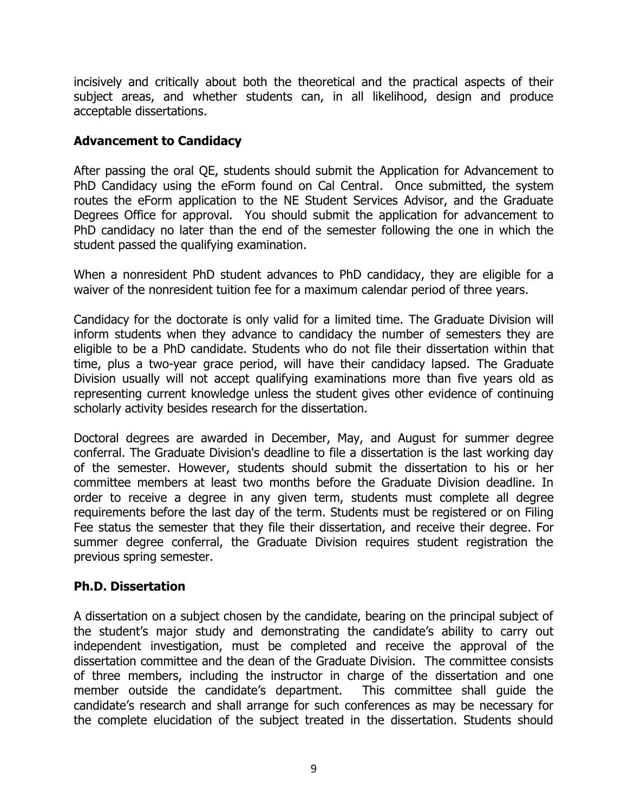incisively and critically about both the theoretical and the practical aspects of their subject areas, and whether students can, in all likelihood, design and produce acceptable dissertations.

#### **Advancement to Candidacy**

After passing the oral QE, students should submit the Application for Advancement to PhD Candidacy using the eForm found on Cal Central. Once submitted, the system routes the eForm application to the NE Student Services Advisor, and the Graduate Degrees Office for approval. You should submit the application for advancement to PhD candidacy no later than the end of the semester following the one in which the student passed the qualifying examination.

When a nonresident PhD student advances to PhD candidacy, they are eligible for a waiver of the nonresident tuition fee for a maximum calendar period of three years.

Candidacy for the doctorate is only valid for a limited time. The Graduate Division will inform students when they advance to candidacy the number of semesters they are eligible to be a PhD candidate. Students who do not file their dissertation within that time, plus a two-year grace period, will have their candidacy lapsed. The Graduate Division usually will not accept qualifying examinations more than five years old as representing current knowledge unless the student gives other evidence of continuing scholarly activity besides research for the dissertation.

Doctoral degrees are awarded in December, May, and August for summer degree conferral. The Graduate Division's deadline to file a dissertation is the last working day of the semester. However, students should submit the dissertation to his or her committee members at least two months before the Graduate Division deadline. In order to receive a degree in any given term, students must complete all degree requirements before the last day of the term. Students must be registered or on Filing Fee status the semester that they file their dissertation, and receive their degree. For summer degree conferral, the Graduate Division requires student registration the previous spring semester.

#### **Ph.D. Dissertation**

A dissertation on a subject chosen by the candidate, bearing on the principal subject of the student's major study and demonstrating the candidate's ability to carry out independent investigation, must be completed and receive the approval of the dissertation committee and the dean of the Graduate Division. The committee consists of three members, including the instructor in charge of the dissertation and one member outside the candidate's department. This committee shall guide the candidate's research and shall arrange for such conferences as may be necessary for the complete elucidation of the subject treated in the dissertation. Students should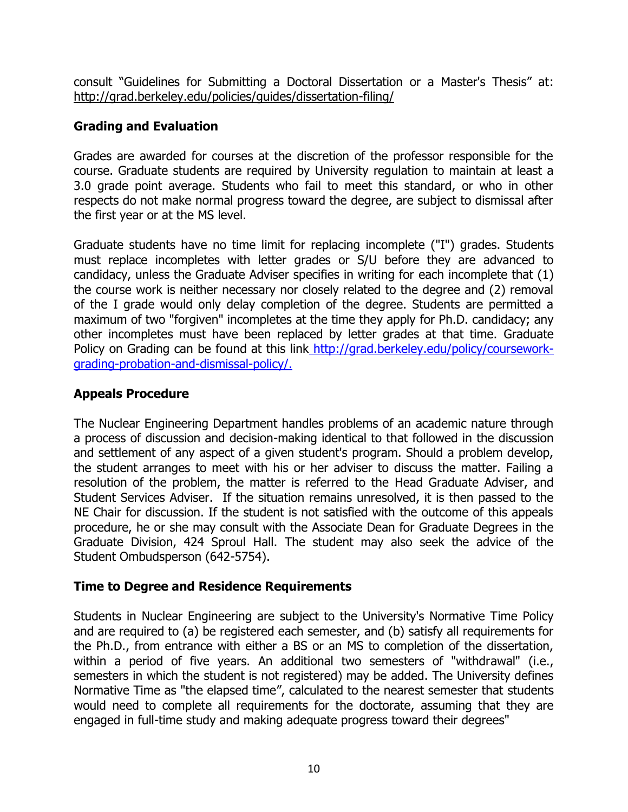consult "Guidelines for Submitting a Doctoral Dissertation or a Master's Thesis" at: <http://grad.berkeley.edu/policies/guides/dissertation-filing/>

### **Grading and Evaluation**

Grades are awarded for courses at the discretion of the professor responsible for the course. Graduate students are required by University regulation to maintain at least a 3.0 grade point average. Students who fail to meet this standard, or who in other respects do not make normal progress toward the degree, are subject to dismissal after the first year or at the MS level.

Graduate students have no time limit for replacing incomplete ("I") grades. Students must replace incompletes with letter grades or S/U before they are advanced to candidacy, unless the Graduate Adviser specifies in writing for each incomplete that (1) the course work is neither necessary nor closely related to the degree and (2) removal of the I grade would only delay completion of the degree. Students are permitted a maximum of two "forgiven" incompletes at the time they apply for Ph.D. candidacy; any other incompletes must have been replaced by letter grades at that time. Graduate Policy on Grading can be found at this link [http://grad.berkeley.edu/policy/coursework](http://grad.berkeley.edu/policy/coursework-grading-probation-and-dismissal-policy/)[grading-probation-and-dismissal-policy/.](http://grad.berkeley.edu/policy/coursework-grading-probation-and-dismissal-policy/)

### **Appeals Procedure**

The Nuclear Engineering Department handles problems of an academic nature through a process of discussion and decision-making identical to that followed in the discussion and settlement of any aspect of a given student's program. Should a problem develop, the student arranges to meet with his or her adviser to discuss the matter. Failing a resolution of the problem, the matter is referred to the Head Graduate Adviser, and Student Services Adviser. If the situation remains unresolved, it is then passed to the NE Chair for discussion. If the student is not satisfied with the outcome of this appeals procedure, he or she may consult with the Associate Dean for Graduate Degrees in the Graduate Division, 424 Sproul Hall. The student may also seek the advice of the Student Ombudsperson (642-5754).

### **Time to Degree and Residence Requirements**

Students in Nuclear Engineering are subject to the University's Normative Time Policy and are required to (a) be registered each semester, and (b) satisfy all requirements for the Ph.D., from entrance with either a BS or an MS to completion of the dissertation, within a period of five years. An additional two semesters of "withdrawal" (i.e., semesters in which the student is not registered) may be added. The University defines Normative Time as "the elapsed time", calculated to the nearest semester that students would need to complete all requirements for the doctorate, assuming that they are engaged in full-time study and making adequate progress toward their degrees"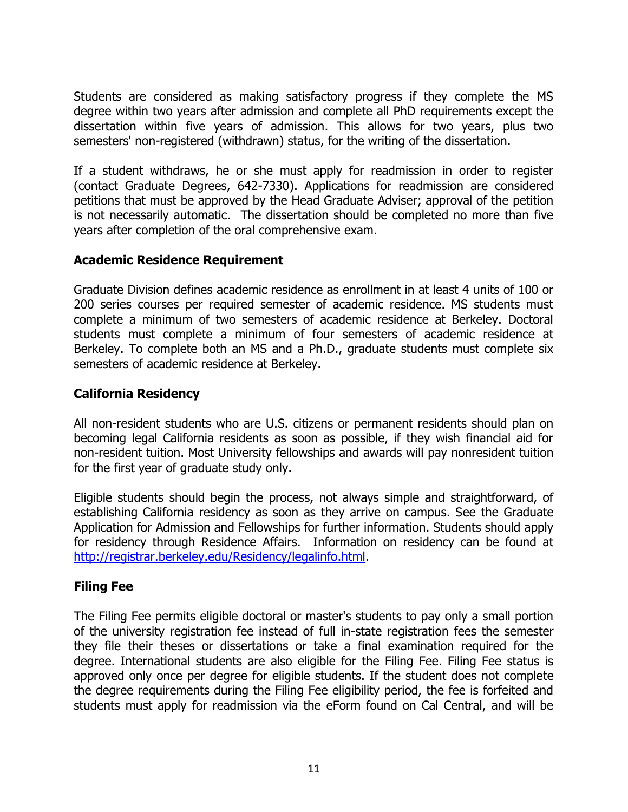Students are considered as making satisfactory progress if they complete the MS degree within two years after admission and complete all PhD requirements except the dissertation within five years of admission. This allows for two years, plus two semesters' non-registered (withdrawn) status, for the writing of the dissertation.

If a student withdraws, he or she must apply for readmission in order to register (contact Graduate Degrees, 642-7330). Applications for readmission are considered petitions that must be approved by the Head Graduate Adviser; approval of the petition is not necessarily automatic. The dissertation should be completed no more than five years after completion of the oral comprehensive exam.

#### **Academic Residence Requirement**

Graduate Division defines academic residence as enrollment in at least 4 units of 100 or 200 series courses per required semester of academic residence. MS students must complete a minimum of two semesters of academic residence at Berkeley. Doctoral students must complete a minimum of four semesters of academic residence at Berkeley. To complete both an MS and a Ph.D., graduate students must complete six semesters of academic residence at Berkeley.

#### **California Residency**

All non-resident students who are U.S. citizens or permanent residents should plan on becoming legal California residents as soon as possible, if they wish financial aid for non-resident tuition. Most University fellowships and awards will pay nonresident tuition for the first year of graduate study only.

Eligible students should begin the process, not always simple and straightforward, of establishing California residency as soon as they arrive on campus. See the Graduate Application for Admission and Fellowships for further information. Students should apply for residency through Residence Affairs. Information on residency can be found at [http://registrar.berkeley.edu/Residency/legalinfo.html.](http://registrar.berkeley.edu/Residency/legalinfo.html)

### **Filing Fee**

The Filing Fee permits eligible doctoral or master's students to pay only a small portion of the university registration fee instead of full in-state registration fees the semester they file their theses or dissertations or take a final examination required for the degree. International students are also eligible for the Filing Fee. Filing Fee status is approved only once per degree for eligible students. If the student does not complete the degree requirements during the Filing Fee eligibility period, the fee is forfeited and students must apply for readmission via the eForm found on Cal Central, and will be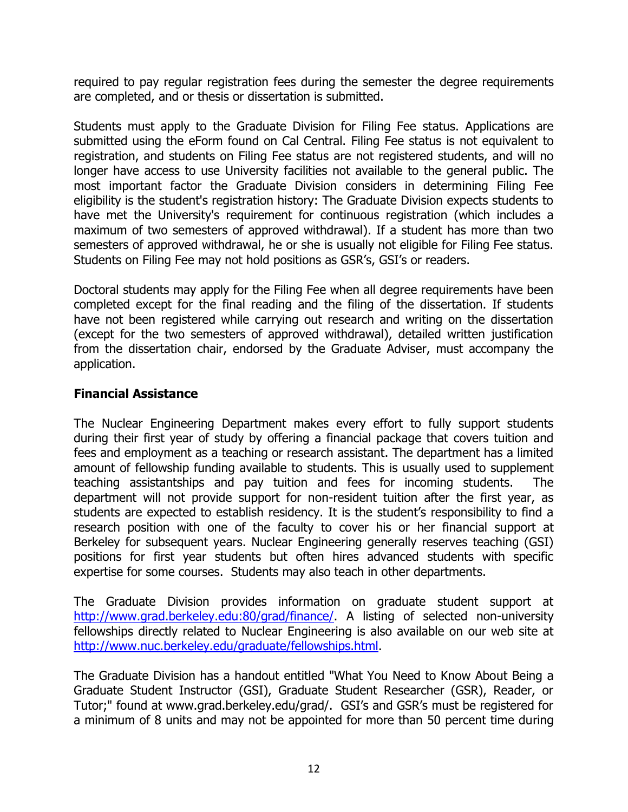required to pay regular registration fees during the semester the degree requirements are completed, and or thesis or dissertation is submitted.

Students must apply to the Graduate Division for Filing Fee status. Applications are submitted using the eForm found on Cal Central. Filing Fee status is not equivalent to registration, and students on Filing Fee status are not registered students, and will no longer have access to use University facilities not available to the general public. The most important factor the Graduate Division considers in determining Filing Fee eligibility is the student's registration history: The Graduate Division expects students to have met the University's requirement for continuous registration (which includes a maximum of two semesters of approved withdrawal). If a student has more than two semesters of approved withdrawal, he or she is usually not eligible for Filing Fee status. Students on Filing Fee may not hold positions as GSR's, GSI's or readers.

Doctoral students may apply for the Filing Fee when all degree requirements have been completed except for the final reading and the filing of the dissertation. If students have not been registered while carrying out research and writing on the dissertation (except for the two semesters of approved withdrawal), detailed written justification from the dissertation chair, endorsed by the Graduate Adviser, must accompany the application.

#### **Financial Assistance**

The Nuclear Engineering Department makes every effort to fully support students during their first year of study by offering a financial package that covers tuition and fees and employment as a teaching or research assistant. The department has a limited amount of fellowship funding available to students. This is usually used to supplement teaching assistantships and pay tuition and fees for incoming students. The department will not provide support for non-resident tuition after the first year, as students are expected to establish residency. It is the student's responsibility to find a research position with one of the faculty to cover his or her financial support at Berkeley for subsequent years. Nuclear Engineering generally reserves teaching (GSI) positions for first year students but often hires advanced students with specific expertise for some courses. Students may also teach in other departments.

The Graduate Division provides information on graduate student support at [http://www.grad.berkeley.edu:80/grad/finance/.](http://www.grad.berkeley.edu/grad/finance/) A listing of selected non-university fellowships directly related to Nuclear Engineering is also available on our web site at [http://www.nuc.berkeley.edu/graduate/fellowships.html.](http://www.nuc.berkeley.edu/graduate/fellowships.html)

The Graduate Division has a handout entitled "What You Need to Know About Being a Graduate Student Instructor (GSI), Graduate Student Researcher (GSR), Reader, or Tutor;" found at www.grad.berkeley.edu/grad/. GSI's and GSR's must be registered for a minimum of 8 units and may not be appointed for more than 50 percent time during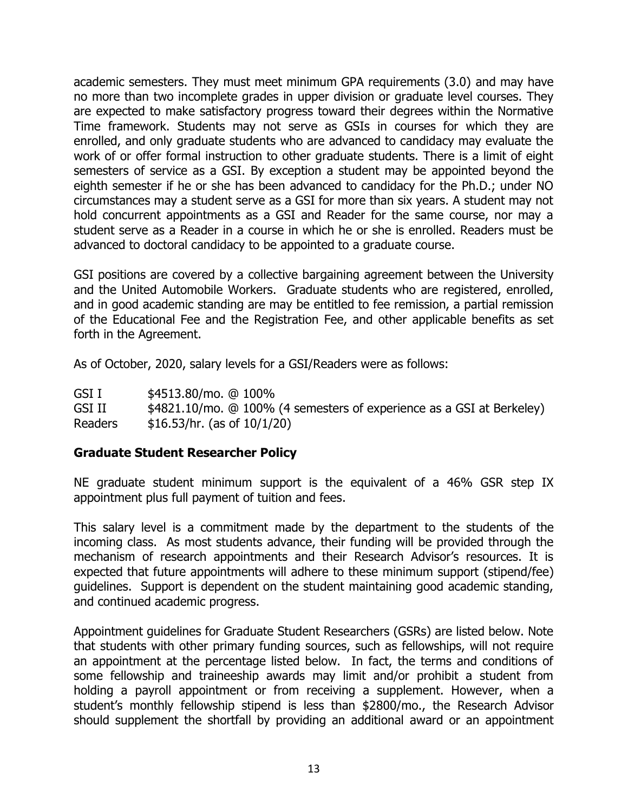academic semesters. They must meet minimum GPA requirements (3.0) and may have no more than two incomplete grades in upper division or graduate level courses. They are expected to make satisfactory progress toward their degrees within the Normative Time framework. Students may not serve as GSIs in courses for which they are enrolled, and only graduate students who are advanced to candidacy may evaluate the work of or offer formal instruction to other graduate students. There is a limit of eight semesters of service as a GSI. By exception a student may be appointed beyond the eighth semester if he or she has been advanced to candidacy for the Ph.D.; under NO circumstances may a student serve as a GSI for more than six years. A student may not hold concurrent appointments as a GSI and Reader for the same course, nor may a student serve as a Reader in a course in which he or she is enrolled. Readers must be advanced to doctoral candidacy to be appointed to a graduate course.

GSI positions are covered by a collective bargaining agreement between the University and the United Automobile Workers. Graduate students who are registered, enrolled, and in good academic standing are may be entitled to fee remission, a partial remission of the Educational Fee and the Registration Fee, and other applicable benefits as set forth in the Agreement.

As of October, 2020, salary levels for a GSI/Readers were as follows:

GSI I \$4513.80/mo. @ 100% GSI II \$4821.10/mo. @ 100% (4 semesters of experience as a GSI at Berkeley) Readers \$16.53/hr. (as of 10/1/20)

#### **Graduate Student Researcher Policy**

NE graduate student minimum support is the equivalent of a 46% GSR step IX appointment plus full payment of tuition and fees.

This salary level is a commitment made by the department to the students of the incoming class. As most students advance, their funding will be provided through the mechanism of research appointments and their Research Advisor's resources. It is expected that future appointments will adhere to these minimum support (stipend/fee) guidelines. Support is dependent on the student maintaining good academic standing, and continued academic progress.

Appointment guidelines for Graduate Student Researchers (GSRs) are listed below. Note that students with other primary funding sources, such as fellowships, will not require an appointment at the percentage listed below. In fact, the terms and conditions of some fellowship and traineeship awards may limit and/or prohibit a student from holding a payroll appointment or from receiving a supplement. However, when a student's monthly fellowship stipend is less than \$2800/mo., the Research Advisor should supplement the shortfall by providing an additional award or an appointment